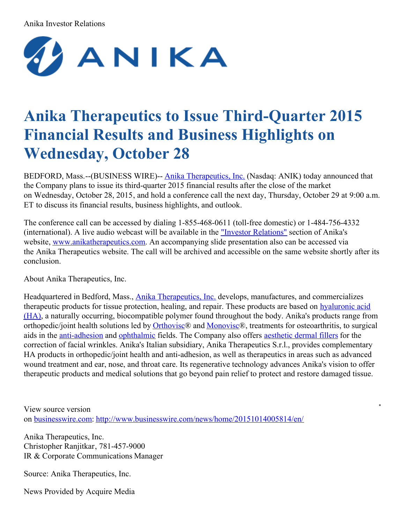## Anika Investor Relations



## **Anika Therapeutics to Issue Third-Quarter 2015 Financial Results and Business Highlights on Wednesday, October 28**

BEDFORD, Mass.--(BUSINESS WIRE)-- Anika [Therapeutics,](http://cts.businesswire.com/ct/CT?id=smartlink&url=http%3A%2F%2Fwww.anikatherapeutics.com%2F&esheet=51201031&newsitemid=20151014005814&lan=en-US&anchor=Anika+Therapeutics%2C+Inc.&index=1&md5=d520f2c91260492c4d61fffa7ce7e682) Inc. (Nasdaq: ANIK) today announced that the Company plans to issue its third-quarter 2015 financial results after the close of the market on Wednesday, October 28, 2015, and hold a conference call the next day, Thursday, October 29 at 9:00 a.m. ET to discuss its financial results, business highlights, and outlook.

The conference call can be accessed by dialing 1-855-468-0611 (toll-free domestic) or 1-484-756-4332 (international). A live audio webcast will be available in the "Investor [Relations"](http://cts.businesswire.com/ct/CT?id=smartlink&url=http%3A%2F%2Fir.anikatherapeutics.com%2Fevents.cfm&esheet=51201031&newsitemid=20151014005814&lan=en-US&anchor=%22Investor+Relations%22&index=2&md5=3cbc4475d98636d0fecd2cac51c1fff3) section of Anika's website, [www.anikatherapeutics.com](http://cts.businesswire.com/ct/CT?id=smartlink&url=http%3A%2F%2Fwww.anikatherapeutics.com%2Findex.html&esheet=51201031&newsitemid=20151014005814&lan=en-US&anchor=www.anikatherapeutics.com&index=3&md5=69e78ed3ee7e160006f7b7f5fab3216f). An accompanying slide presentation also can be accessed via the Anika Therapeutics website. The call will be archived and accessible on the same website shortly after its conclusion.

About Anika Therapeutics, Inc.

Headquartered in Bedford, Mass., Anika [Therapeutics,](http://cts.businesswire.com/ct/CT?id=smartlink&url=http%3A%2F%2Fwww.anikatherapeutics.com%2Findex.html&esheet=51201031&newsitemid=20151014005814&lan=en-US&anchor=Anika+Therapeutics%2C+Inc.&index=4&md5=905d6e4c116f4334e59368f59ff72790) Inc. develops, manufactures, and commercializes therapeutic products for tissue protection, healing, and repair. These products are based on hyaluronic acid (HA), a naturally occurring, [biocompatible](http://cts.businesswire.com/ct/CT?id=smartlink&url=http%3A%2F%2Fwww.anikatherapeutics.com%2Finnovation%2Fhyaluronicacid%2Findex.html&esheet=51201031&newsitemid=20151014005814&lan=en-US&anchor=hyaluronic+acid+%28HA%29&index=5&md5=17d3484d88d36ff3d8d0f63841b0bb4b) polymer found throughout the body. Anika's products range from orthopedic/joint health solutions led by [Orthovisc](http://cts.businesswire.com/ct/CT?id=smartlink&url=http%3A%2F%2Fwww.anikatherapeutics.com%2Fproducts%2FOrthobiologics%2Forthovisc.html&esheet=51201031&newsitemid=20151014005814&lan=en-US&anchor=Orthovisc&index=6&md5=93be9b346119664a1878c1d5e0cb80d8)® and [Monovisc](http://cts.businesswire.com/ct/CT?id=smartlink&url=http%3A%2F%2Fwww.anikatherapeutics.com%2Fproducts%2FOrthobiologics%2Fmonovisc.html&esheet=51201031&newsitemid=20151014005814&lan=en-US&anchor=Monovisc&index=7&md5=457c26534be7896bc73091fccf673454)®, treatments for osteoarthritis, to surgical aids in the [anti-adhesion](http://cts.businesswire.com/ct/CT?id=smartlink&url=http%3A%2F%2Fwww.anikatherapeutics.com%2Fproducts%2Fsurgical%2Findex.html&esheet=51201031&newsitemid=20151014005814&lan=en-US&anchor=anti-adhesion&index=8&md5=8cdd295eba2a5073cd3ab1bb4f7de981) and [ophthalmic](http://cts.businesswire.com/ct/CT?id=smartlink&url=http%3A%2F%2Fwww.anikatherapeutics.com%2Fproducts%2Fophthalmic%2Findex.html&esheet=51201031&newsitemid=20151014005814&lan=en-US&anchor=ophthalmic&index=9&md5=5a3dc23b42b5562a9f1af0e0d5cfc921) fields. The Company also offers [aesthetic](http://cts.businesswire.com/ct/CT?id=smartlink&url=http%3A%2F%2Fwww.anikatherapeutics.com%2Fproducts%2Fdermal%2Findex.html&esheet=51201031&newsitemid=20151014005814&lan=en-US&anchor=aesthetic+dermal+fillers&index=10&md5=62c3c838031dc8f8e78b3822acadad85) dermal fillers for the correction of facial wrinkles. Anika's Italian subsidiary, Anika Therapeutics S.r.l., provides complementary HA products in orthopedic/joint health and anti-adhesion, as well as therapeutics in areas such as advanced wound treatment and ear, nose, and throat care. Its regenerative technology advances Anika's vision to offer therapeutic products and medical solutions that go beyond pain relief to protect and restore damaged tissue.

 $\blacksquare$ 

View source version on [businesswire.com:](http://businesswire.com/) <http://www.businesswire.com/news/home/20151014005814/en/>

Anika Therapeutics, Inc. Christopher Ranjitkar, 781-457-9000 IR & Corporate Communications Manager

Source: Anika Therapeutics, Inc.

News Provided by Acquire Media